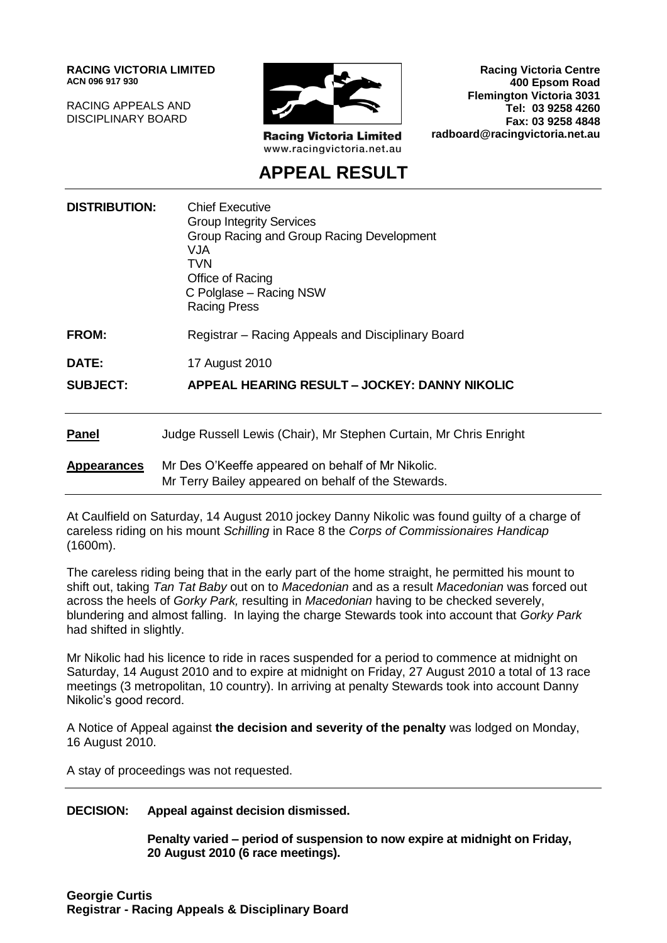**RACING VICTORIA LIMITED ACN 096 917 930**

RACING APPEALS AND DISCIPLINARY BOARD



**Racing Victoria Limited** www.racingvictoria.net.au

**Racing Victoria Centre 400 Epsom Road Flemington Victoria 3031 Tel: 03 9258 4260 Fax: 03 9258 4848 radboard@racingvictoria.net.au**

# **APPEAL RESULT**

| <b>DISTRIBUTION:</b> | <b>Chief Executive</b><br><b>Group Integrity Services</b><br>Group Racing and Group Racing Development<br><b>VJA</b><br><b>TVN</b><br>Office of Racing<br>C Polglase - Racing NSW<br><b>Racing Press</b> |
|----------------------|----------------------------------------------------------------------------------------------------------------------------------------------------------------------------------------------------------|
| <b>FROM:</b>         | Registrar – Racing Appeals and Disciplinary Board                                                                                                                                                        |
| DATE:                | 17 August 2010                                                                                                                                                                                           |
| <b>SUBJECT:</b>      | APPEAL HEARING RESULT - JOCKEY: DANNY NIKOLIC                                                                                                                                                            |
| <b>Panel</b>         | Judge Russell Lewis (Chair), Mr Stephen Curtain, Mr Chris Enright                                                                                                                                        |
| <b>Appearances</b>   | Mr Des O'Keeffe appeared on behalf of Mr Nikolic.<br>Mr Terry Bailey appeared on behalf of the Stewards.                                                                                                 |

At Caulfield on Saturday, 14 August 2010 jockey Danny Nikolic was found guilty of a charge of careless riding on his mount *Schilling* in Race 8 the *Corps of Commissionaires Handicap* (1600m).

The careless riding being that in the early part of the home straight, he permitted his mount to shift out, taking *Tan Tat Baby* out on to *Macedonian* and as a result *Macedonian* was forced out across the heels of *Gorky Park,* resulting in *Macedonian* having to be checked severely, blundering and almost falling. In laying the charge Stewards took into account that *Gorky Park* had shifted in slightly.

Mr Nikolic had his licence to ride in races suspended for a period to commence at midnight on Saturday, 14 August 2010 and to expire at midnight on Friday, 27 August 2010 a total of 13 race meetings (3 metropolitan, 10 country). In arriving at penalty Stewards took into account Danny Nikolic's good record.

A Notice of Appeal against **the decision and severity of the penalty** was lodged on Monday, 16 August 2010.

A stay of proceedings was not requested.

#### **DECISION: Appeal against decision dismissed.**

**Penalty varied – period of suspension to now expire at midnight on Friday, 20 August 2010 (6 race meetings).**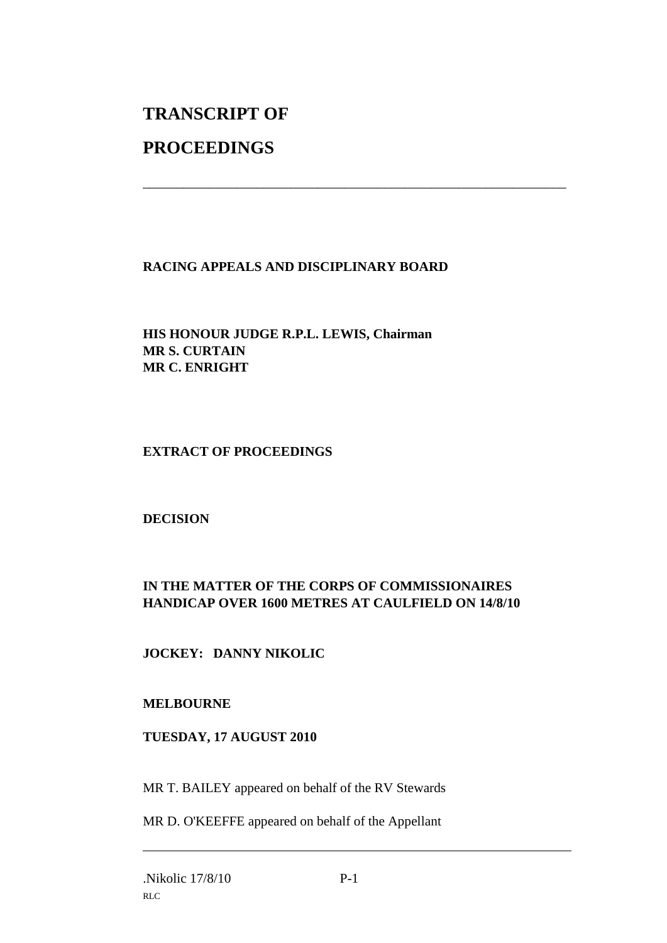# **TRANSCRIPT OF**

## **PROCEEDINGS**

## **RACING APPEALS AND DISCIPLINARY BOARD**

\_\_\_\_\_\_\_\_\_\_\_\_\_\_\_\_\_\_\_\_\_\_\_\_\_\_\_\_\_\_\_\_\_\_\_\_\_\_\_\_\_\_\_\_\_\_\_\_\_\_\_\_\_\_\_\_\_\_\_\_\_\_\_

#### **HIS HONOUR JUDGE R.P.L. LEWIS, Chairman MR S. CURTAIN MR C. ENRIGHT**

#### **EXTRACT OF PROCEEDINGS**

#### **DECISION**

## **IN THE MATTER OF THE CORPS OF COMMISSIONAIRES HANDICAP OVER 1600 METRES AT CAULFIELD ON 14/8/10**

**JOCKEY: DANNY NIKOLIC**

#### **MELBOURNE**

#### **TUESDAY, 17 AUGUST 2010**

MR T. BAILEY appeared on behalf of the RV Stewards

MR D. O'KEEFFE appeared on behalf of the Appellant